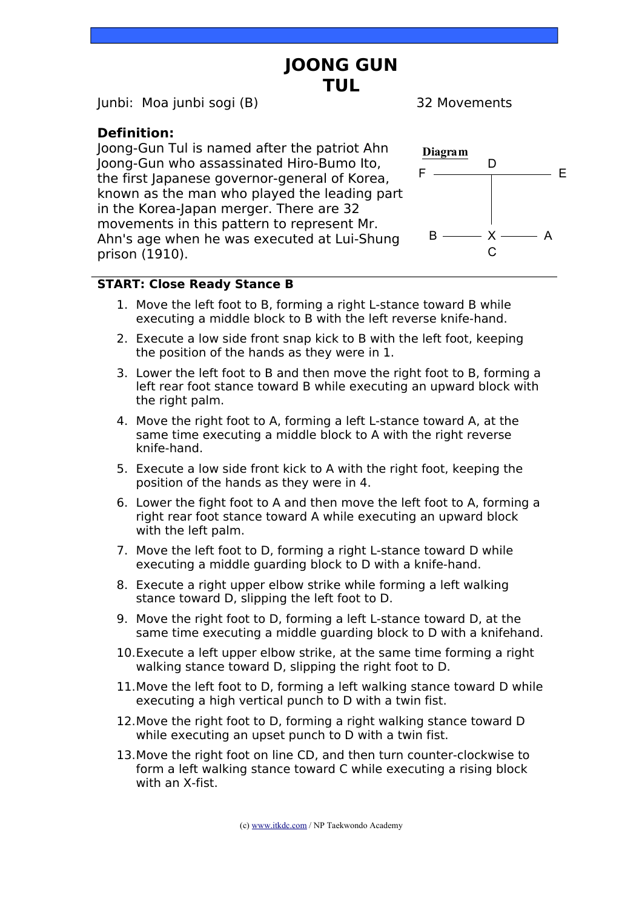## **JOONG GUN TUL**

Junbi: Moa junbi sogi (B) 32 Movements

#### **Definition:**

Joong-Gun Tul is named after the patriot Ahn Joong-Gun who assassinated Hiro-Bumo Ito, the first Japanese governor-general of Korea, known as the man who played the leading part in the Korea-Japan merger. There are 32 movements in this pattern to represent Mr. Ahn's age when he was executed at Lui-Shung prison (1910).



#### **START: Close Ready Stance B**

- 1. Move the left foot to B, forming a right L-stance toward B while executing a middle block to B with the left reverse knife-hand.
- 2. Execute a low side front snap kick to B with the left foot, keeping the position of the hands as they were in 1.
- 3. Lower the left foot to B and then move the right foot to B, forming a left rear foot stance toward B while executing an upward block with the right palm.
- 4. Move the right foot to A, forming a left L-stance toward A, at the same time executing a middle block to A with the right reverse knife-hand.
- 5. Execute a low side front kick to A with the right foot, keeping the position of the hands as they were in 4.
- 6. Lower the fight foot to A and then move the left foot to A, forming a right rear foot stance toward A while executing an upward block with the left palm.
- 7. Move the left foot to D, forming a right L-stance toward D while executing a middle guarding block to D with a knife-hand.
- 8. Execute a right upper elbow strike while forming a left walking stance toward D, slipping the left foot to D.
- 9. Move the right foot to D, forming a left L-stance toward D, at the same time executing a middle guarding block to D with a knifehand.
- 10.Execute a left upper elbow strike, at the same time forming a right walking stance toward D, slipping the right foot to D.
- 11.Move the left foot to D, forming a left walking stance toward D while executing a high vertical punch to D with a twin fist.
- 12.Move the right foot to D, forming a right walking stance toward D while executing an upset punch to D with a twin fist.
- 13.Move the right foot on line CD, and then turn counter-clockwise to form a left walking stance toward C while executing a rising block with an X-fist.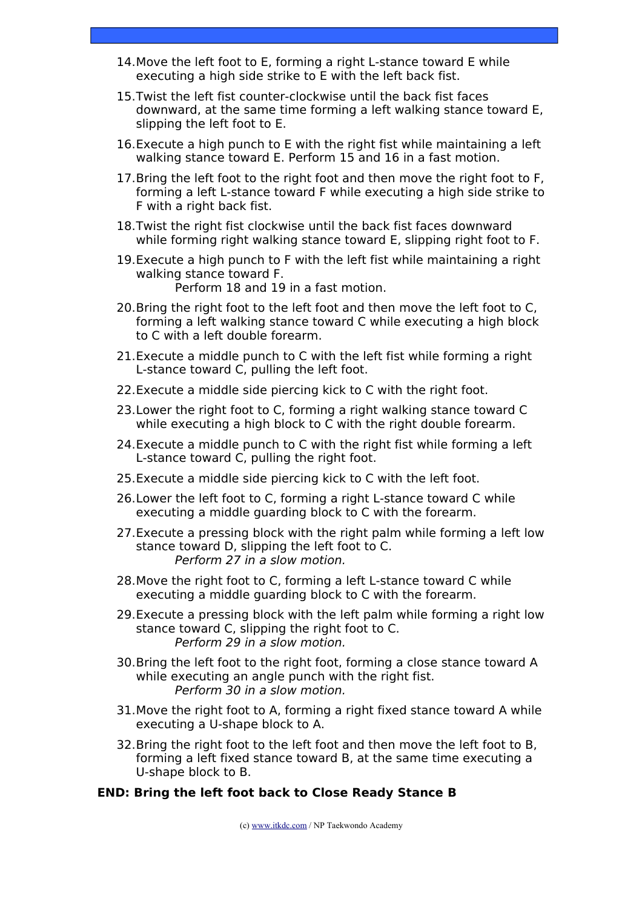- 14.Move the left foot to E, forming a right L-stance toward E while executing a high side strike to E with the left back fist.
- 15.Twist the left fist counter-clockwise until the back fist faces downward, at the same time forming a left walking stance toward E, slipping the left foot to E.
- 16.Execute a high punch to E with the right fist while maintaining a left walking stance toward E. Perform 15 and 16 in a fast motion.
- 17.Bring the left foot to the right foot and then move the right foot to F, forming a left L-stance toward F while executing a high side strike to F with a right back fist.
- 18.Twist the right fist clockwise until the back fist faces downward while forming right walking stance toward E, slipping right foot to F.
- 19.Execute a high punch to F with the left fist while maintaining a right walking stance toward F. Perform 18 and 19 in a fast motion.
- 20.Bring the right foot to the left foot and then move the left foot to C, forming a left walking stance toward C while executing a high block to C with a left double forearm.
- 21.Execute a middle punch to C with the left fist while forming a right L-stance toward C, pulling the left foot.
- 22.Execute a middle side piercing kick to C with the right foot.
- 23.Lower the right foot to C, forming a right walking stance toward C while executing a high block to C with the right double forearm.
- 24.Execute a middle punch to C with the right fist while forming a left L-stance toward C, pulling the right foot.
- 25.Execute a middle side piercing kick to C with the left foot.
- 26.Lower the left foot to C, forming a right L-stance toward C while executing a middle guarding block to C with the forearm.
- 27.Execute a pressing block with the right palm while forming a left low stance toward D, slipping the left foot to C. Perform 27 in a slow motion.
- 28. Move the right foot to C, forming a left L-stance toward C while executing a middle guarding block to C with the forearm.
- 29.Execute a pressing block with the left palm while forming a right low stance toward C, slipping the right foot to C. Perform 29 in a slow motion.
- 30.Bring the left foot to the right foot, forming a close stance toward A while executing an angle punch with the right fist. Perform 30 in a slow motion.
- 31.Move the right foot to A, forming a right fixed stance toward A while executing a U-shape block to A.
- 32.Bring the right foot to the left foot and then move the left foot to B, forming a left fixed stance toward B, at the same time executing a U-shape block to B.

#### **END: Bring the left foot back to Close Ready Stance B**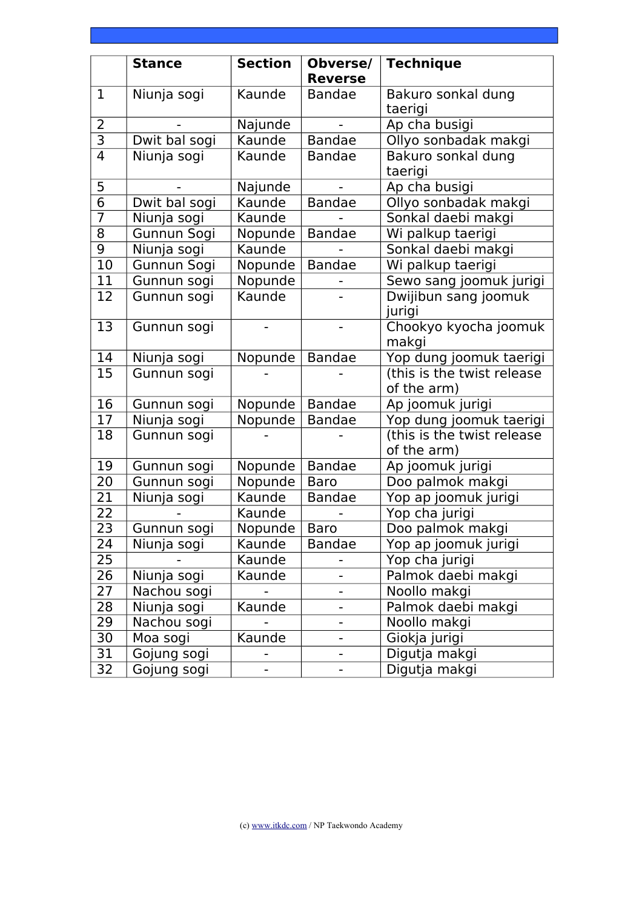|                | <b>Stance</b> | <b>Section</b> | Obverse/       | <b>Technique</b>                          |
|----------------|---------------|----------------|----------------|-------------------------------------------|
|                |               |                | <b>Reverse</b> |                                           |
| $\mathbf{1}$   | Niunja sogi   | Kaunde         | <b>Bandae</b>  | Bakuro sonkal dung                        |
|                |               |                |                | taerigi                                   |
| $\overline{2}$ |               | Najunde        |                | Ap cha busigi                             |
| $\overline{3}$ | Dwit bal sogi | Kaunde         | <b>Bandae</b>  | Ollyo sonbadak makgi                      |
| 4              | Niunja sogi   | Kaunde         | <b>Bandae</b>  | Bakuro sonkal dung<br>taerigi             |
| 5              |               | Najunde        |                | Ap cha busigi                             |
| $\overline{6}$ | Dwit bal sogi | Kaunde         | <b>Bandae</b>  | Ollyo sonbadak makgi                      |
| $\overline{7}$ | Niunja sogi   | Kaunde         |                | Sonkal daebi makgi                        |
| 8              | Gunnun Sogi   | Nopunde        | <b>Bandae</b>  | Wi palkup taerigi                         |
| $\overline{9}$ | Niunja sogi   | Kaunde         |                | Sonkal daebi makgi                        |
| 10             | Gunnun Sogi   | Nopunde        | <b>Bandae</b>  | Wi palkup taerigi                         |
| 11             | Gunnun sogi   | Nopunde        |                | Sewo sang joomuk jurigi                   |
| 12             | Gunnun sogi   | Kaunde         |                | Dwijibun sang joomuk<br>jurigi            |
| 13             | Gunnun sogi   |                |                | Chookyo kyocha joomuk<br>makgi            |
| 14             | Niunja sogi   | Nopunde        | <b>Bandae</b>  | Yop dung joomuk taerigi                   |
| 15             | Gunnun sogi   |                |                | (this is the twist release<br>of the arm) |
| 16             | Gunnun sogi   | Nopunde        | <b>Bandae</b>  | Ap joomuk jurigi                          |
| 17             | Niunja sogi   | Nopunde        | <b>Bandae</b>  | Yop dung joomuk taerigi                   |
| 18             | Gunnun sogi   |                |                | (this is the twist release<br>of the arm) |
| 19             | Gunnun sogi   | Nopunde        | <b>Bandae</b>  | Ap joomuk jurigi                          |
| 20             | Gunnun sogi   | Nopunde        | <b>Baro</b>    | Doo palmok makgi                          |
| 21             | Niunja sogi   | Kaunde         | <b>Bandae</b>  | Yop ap joomuk jurigi                      |
| 22             |               | Kaunde         |                | Yop cha jurigi                            |
| 23             | Gunnun sogi   | Nopunde        | <b>Baro</b>    | Doo palmok makgi                          |
| 24             | Niunja sogi   | Kaunde         | <b>Bandae</b>  | Yop ap joomuk jurigi                      |
| 25             |               | Kaunde         |                | Yop cha jurigi                            |
| 26             | Niunja sogi   | Kaunde         |                | Palmok daebi makgi                        |
| 27             | Nachou sogi   |                |                | Noollo makgi                              |
| 28             | Niunja sogi   | Kaunde         |                | Palmok daebi makgi                        |
| 29             | Nachou sogi   |                |                | Noollo makgi                              |
| 30             | Moa sogi      | Kaunde         |                | Giokja jurigi                             |
| 31             | Gojung sogi   |                |                | Digutja makgi                             |
| 32             | Gojung sogi   |                |                | Digutja makgi                             |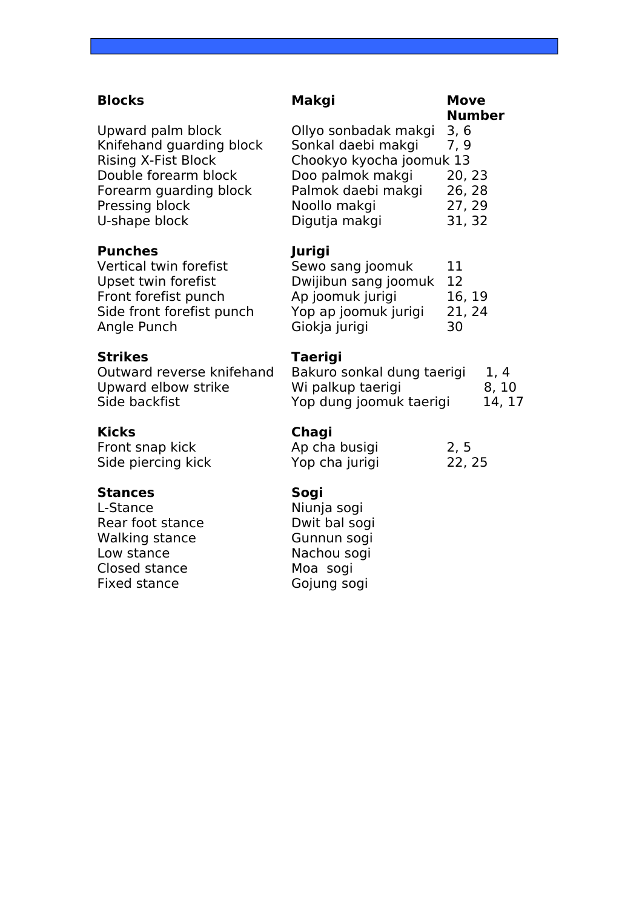### **Blocks Makgi Move**

#### **Punches Jurigi**

Vertical twin forefist Upset twin forefist Front forefist punch Side front forefist punch Angle Punch

### **Strikes Table**

Outward reverse knifehand Upward elbow strike Side backfist

### **Stances Sogi**

L-Stance Niunja sogi Rear foot stance **Dwit bal sogi** Walking stance **Gunnun sogi** Low stance Nachou sogi Closed stance Moa sogi Fixed stance Gojung sogi

### Upward palm block Ollyo sonbadak makgi 3, 6 Knifehand guarding block Sonkal daebi makgi 7, 9 Rising X-Fist Block Chookyo kyocha joomuk 13 Double forearm block Doo palmok makgi 20, 23 Forearm guarding block Palmok daebi makgi 26, 28 Pressing block Noollo makgi 27, 29 U-shape block Digutja makgi 31, 32

| 11     |
|--------|
| 12     |
| 16, 19 |
| 21, 24 |
| 30     |
|        |

| Bakuro sonkal dung taerigi | 1, 4   |
|----------------------------|--------|
| Wi palkup taerigi          | 8, 10  |
| Yop dung joomuk taerigi    | 14, 17 |

### **Kicks Chagi**

| Front snap kick    | Ap cha busigi  | 2, 5   |  |
|--------------------|----------------|--------|--|
| Side piercing kick | Yop cha jurigi | 22, 25 |  |

# **Number**

| ewo sang joomuk                                                                  |   |  |  |  |
|----------------------------------------------------------------------------------|---|--|--|--|
| wijibun sang joomuk                                                              | 1 |  |  |  |
| p joomuk jurigi                                                                  | 1 |  |  |  |
| op ap joomuk jurigi                                                              | 2 |  |  |  |
| iokja jurigi                                                                     | 3 |  |  |  |
| aerigi<br>akuro sonkal dung taeri<br>li palkup taerigi<br>op dung joomuk taerigi |   |  |  |  |
|                                                                                  |   |  |  |  |